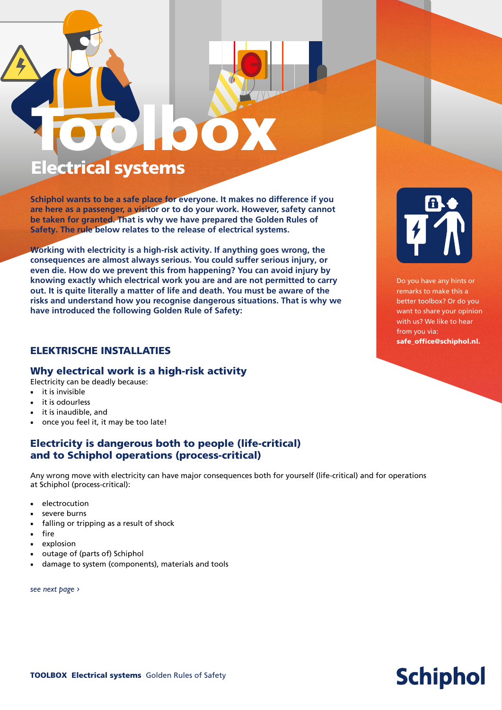# Toolbox Electrical systems

**Schiphol wants to be a safe place for everyone. It makes no difference if you are here as a passenger, a visitor or to do your work. However, safety cannot be taken for granted. That is why we have prepared the Golden Rules of Safety. The rule below relates to the release of electrical systems.** 

**Working with electricity is a high-risk activity. If anything goes wrong, the consequences are almost always serious. You could suffer serious injury, or even die. How do we prevent this from happening? You can avoid injury by knowing exactly which electrical work you are and are not permitted to carry out. It is quite literally a matter of life and death. You must be aware of the risks and understand how you recognise dangerous situations. That is why we have introduced the following Golden Rule of Safety:**

#### ELEKTRISCHE INSTALLATIES

#### Why electrical work is a high-risk activity

Electricity can be deadly because:

- it is invisible
- it is odourless
- it is inaudible, and
- once you feel it, it may be too late!

#### Electricity is dangerous both to people (life-critical) and to Schiphol operations (process-critical)

Any wrong move with electricity can have major consequences both for yourself (life-critical) and for operations at Schiphol (process-critical):

- electrocution
- severe burns
- falling or tripping as a result of shock
- fire
- explosion
- outage of (parts of) Schiphol
- damage to system (components), materials and tools

*see next page ›*



Do you have any hints or remarks to make this a better toolbox? Or do you want to share your opinion with us? We like to hear from you via: safe\_office@schiphol.nl.

## **Schiphol**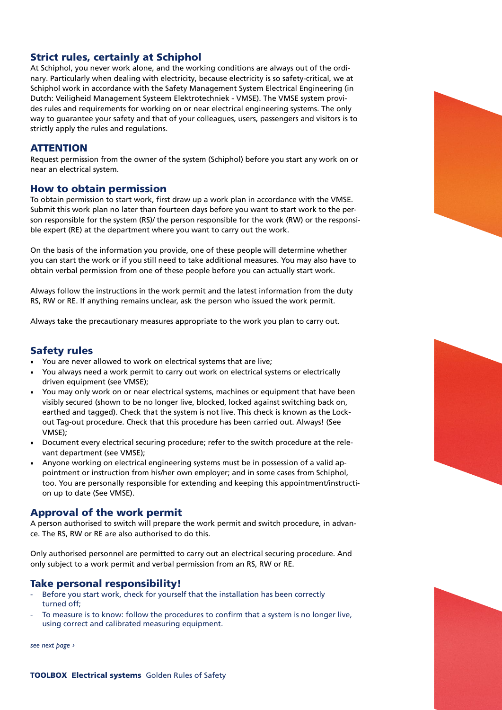#### Strict rules, certainly at Schiphol

At Schiphol, you never work alone, and the working conditions are always out of the ordinary. Particularly when dealing with electricity, because electricity is so safety-critical, we at Schiphol work in accordance with the Safety Management System Electrical Engineering (in Dutch: Veiligheid Management Systeem Elektrotechniek - VMSE). The VMSE system provides rules and requirements for working on or near electrical engineering systems. The only way to guarantee your safety and that of your colleagues, users, passengers and visitors is to strictly apply the rules and regulations.

#### **ATTENTION**

Request permission from the owner of the system (Schiphol) before you start any work on or near an electrical system.

#### How to obtain permission

To obtain permission to start work, first draw up a work plan in accordance with the VMSE. Submit this work plan no later than fourteen days before you want to start work to the person responsible for the system (RS)/ the person responsible for the work (RW) or the responsible expert (RE) at the department where you want to carry out the work.

On the basis of the information you provide, one of these people will determine whether you can start the work or if you still need to take additional measures. You may also have to obtain verbal permission from one of these people before you can actually start work.

Always follow the instructions in the work permit and the latest information from the duty RS, RW or RE. If anything remains unclear, ask the person who issued the work permit.

Always take the precautionary measures appropriate to the work you plan to carry out.

#### Safety rules

- You are never allowed to work on electrical systems that are live;
- You always need a work permit to carry out work on electrical systems or electrically driven equipment (see VMSE);
- You may only work on or near electrical systems, machines or equipment that have been visibly secured (shown to be no longer live, blocked, locked against switching back on, earthed and tagged). Check that the system is not live. This check is known as the Lockout Tag-out procedure. Check that this procedure has been carried out. Always! (See VMSE);
- Document every electrical securing procedure; refer to the switch procedure at the relevant department (see VMSE);
- Anyone working on electrical engineering systems must be in possession of a valid appointment or instruction from his/her own employer; and in some cases from Schiphol, too. You are personally responsible for extending and keeping this appointment/instruction up to date (See VMSE).

#### Approval of the work permit

A person authorised to switch will prepare the work permit and switch procedure, in advance. The RS, RW or RE are also authorised to do this.

Only authorised personnel are permitted to carry out an electrical securing procedure. And only subject to a work permit and verbal permission from an RS, RW or RE.

#### Take personal responsibility!

- Before you start work, check for yourself that the installation has been correctly turned off;
- To measure is to know: follow the procedures to confirm that a system is no longer live. using correct and calibrated measuring equipment.

*see next page ›*